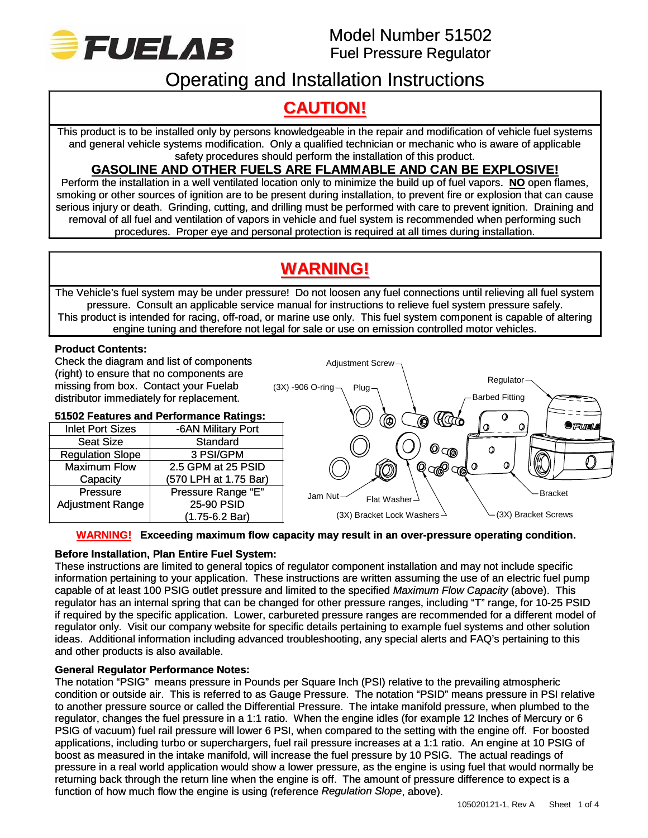

# Operating and Installation Instructions

# **CAUTION!**

This product is to be installed only by persons knowledgeable in the repair and modification of vehicle fuel systems and general vehicle systems modification. Only a qualified technician or mechanic who is aware of applicable safety procedures should perform the installation of this product.

## **GASOLINE AND OTHER FUELS ARE FLAMMABLE AND CAN BE EXPLOSIVE!**

Perform the installation in a well ventilated location only to minimize the build up of fuel vapors. **NO** open flames, smoking or other sources of ignition are to be present during installation, to prevent fire or explosion that can cause serious injury or death. Grinding, cutting, and drilling must be performed with care to prevent ignition. Draining and removal of all fuel and ventilation of vapors in vehicle and fuel system is recommended when performing such procedures. Proper eye and personal protection is required at all times during installation.

# **WARNING!**

The Vehicle's fuel system may be under pressure! Do not loosen any fuel connections until relieving all fuel system pressure. Consult an applicable service manual for instructions to relieve fuel system pressure safely. This product is intended for racing, off-road, or marine use only. This fuel system component is capable of altering engine tuning and therefore not legal for sale or use on emission controlled motor vehicles.

## **Product Contents:**

Check the diagram and list of components (right) to ensure that no components are missing from box. Contact your Fuelab distributor immediately for replacement.

## **51502 Features and Performance Ratings:**

| <b>Inlet Port Sizes</b> | -6AN Military Port       |     |
|-------------------------|--------------------------|-----|
| <b>Seat Size</b>        | Standard                 |     |
| <b>Regulation Slope</b> | 3 PSI/GPM                |     |
| <b>Maximum Flow</b>     | 2.5 GPM at 25 PSID       |     |
| Capacity                | (570 LPH at 1.75 Bar)    |     |
| <b>Pressure</b>         | Pressure Range "E"       | ءَل |
| <b>Adjustment Range</b> | 25-90 PSID               |     |
|                         | $(1.75-6.2 \text{ Bar})$ |     |



## **WARNING! Exceeding maximum flow capacity may result in an over-pressure operating condition.**

## **Before Installation, Plan Entire Fuel System:**

These instructions are limited to general topics of regulator component installation and may not include specific information pertaining to your application. These instructions are written assuming the use of an electric fuel pump capable of at least 100 PSIG outlet pressure and limited to the specified *Maximum Flow Capacity* (above). This regulator has an internal spring that can be changed for other pressure ranges, including "T" range, for 10-25 PSID if required by the specific application. Lower, carbureted pressure ranges are recommended for a different model of regulator only. Visit our company website for specific details pertaining to example fuel systems and other solution ideas. Additional information including advanced troubleshooting, any special alerts and FAQ's pertaining to this and other products is also available.

## **General Regulator Performance Notes:**

The notation "PSIG" means pressure in Pounds per Square Inch (PSI) relative to the prevailing atmospheric condition or outside air. This is referred to as Gauge Pressure. The notation "PSID" means pressure in PSI relative to another pressure source or called the Differential Pressure. The intake manifold pressure, when plumbed to the regulator, changes the fuel pressure in a 1:1 ratio. When the engine idles (for example 12 Inches of Mercury or 6 PSIG of vacuum) fuel rail pressure will lower 6 PSI, when compared to the setting with the engine off. For boosted applications, including turbo or superchargers, fuel rail pressure increases at a 1:1 ratio. An engine at 10 PSIG of boost as measured in the intake manifold, will increase the fuel pressure by 10 PSIG. The actual readings of pressure in a real world application would show a lower pressure, as the engine is using fuel that would normally be returning back through the return line when the engine is off. The amount of pressure difference to expect is a function of how much flow the engine is using (reference *Regulation Slope*, above).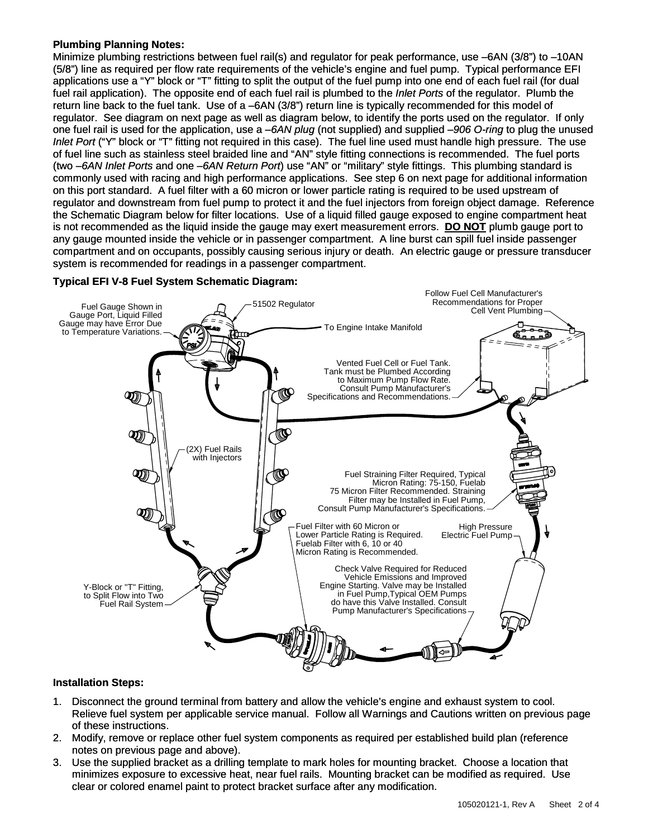### **Plumbing Planning Notes:**

Minimize plumbing restrictions between fuel rail(s) and regulator for peak performance, use –6AN (3/8") to –10AN (5/8") line as required per flow rate requirements of the vehicle's engine and fuel pump. Typical performance EFI applications use a "Y" block or "T" fitting to split the output of the fuel pump into one end of each fuel rail (for dual fuel rail application). The opposite end of each fuel rail is plumbed to the *Inlet Ports* of the regulator. Plumb the return line back to the fuel tank. Use of a –6AN (3/8") return line is typically recommended for this model of regulator. See diagram on next page as well as diagram below, to identify the ports used on the regulator. If only one fuel rail is used for the application, use a *–6AN plug* (not supplied) and supplied *–906 O-ring* to plug the unused *Inlet Port* ("Y" block or "T" fitting not required in this case). The fuel line used must handle high pressure. The use of fuel line such as stainless steel braided line and "AN" style fitting connections is recommended. The fuel ports (two *–6AN Inlet Ports* and one *–6AN Return Port*) use "AN" or "military" style fittings. This plumbing standard is commonly used with racing and high performance applications. See step 6 on next page for additional information on this port standard. A fuel filter with a 60 micron or lower particle rating is required to be used upstream of regulator and downstream from fuel pump to protect it and the fuel injectors from foreign object damage. Reference the Schematic Diagram below for filter locations. Use of a liquid filled gauge exposed to engine compartment heat is not recommended as the liquid inside the gauge may exert measurement errors. **DO NOT** plumb gauge port to any gauge mounted inside the vehicle or in passenger compartment. A line burst can spill fuel inside passenger compartment and on occupants, possibly causing serious injury or death. An electric gauge or pressure transducer system is recommended for readings in a passenger compartment.



### **Typical EFI V-8 Fuel System Schematic Diagram:**

## **Installation Steps:**

- 1. Disconnect the ground terminal from battery and allow the vehicle's engine and exhaust system to cool. Relieve fuel system per applicable service manual. Follow all Warnings and Cautions written on previous page of these instructions.
- 2. Modify, remove or replace other fuel system components as required per established build plan (reference notes on previous page and above).
- 3. Use the supplied bracket as a drilling template to mark holes for mounting bracket. Choose a location that minimizes exposure to excessive heat, near fuel rails. Mounting bracket can be modified as required. Use clear or colored enamel paint to protect bracket surface after any modification.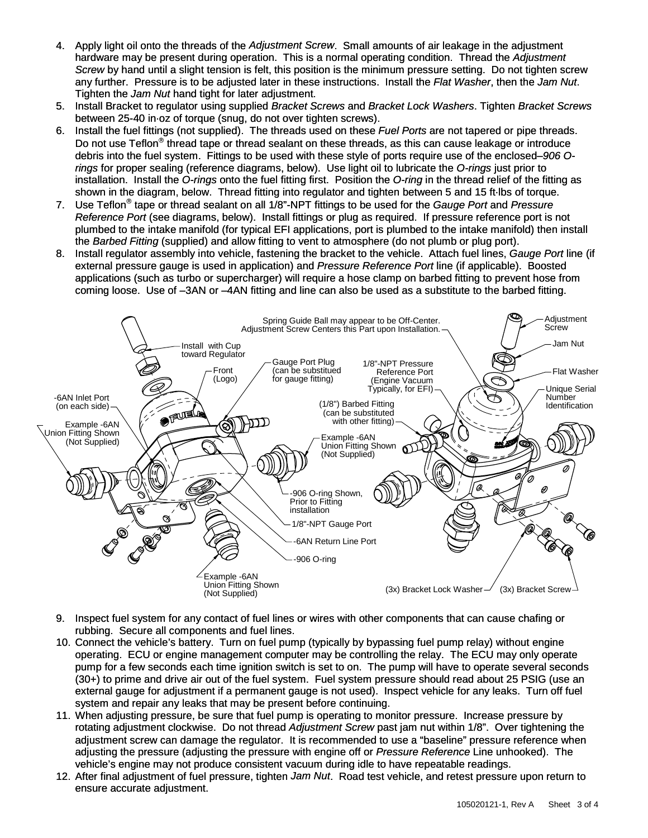- 4. Apply light oil onto the threads of the *Adjustment Screw*. Small amounts of air leakage in the adjustment hardware may be present during operation. This is a normal operating condition. Thread the *Adjustment Screw* by hand until a slight tension is felt, this position is the minimum pressure setting. Do not tighten screw any further. Pressure is to be adjusted later in these instructions. Install the *Flat Washer*, then the *Jam Nut*. Tighten the *Jam Nut* hand tight for later adjustment.
- 5. Install Bracket to regulator using supplied *Bracket Screws* and *Bracket Lock Washers*. Tighten *Bracket Screws* between 25-40 in·oz of torque (snug, do not over tighten screws).
- 6. Install the fuel fittings (not supplied). The threads used on these *Fuel Ports* are not tapered or pipe threads. Do not use Teflon<sup>®</sup> thread tape or thread sealant on these threads, as this can cause leakage or introduce debris into the fuel system. Fittings to be used with these style of ports require use of the enclosed*–906 Orings* for proper sealing (reference diagrams, below). Use light oil to lubricate the *O-rings* just prior to installation. Install the *O-rings* onto the fuel fitting first. Position the *O-ring* in the thread relief of the fitting as shown in the diagram, below. Thread fitting into regulator and tighten between 5 and 15 ft·lbs of torque.
- 7. Use Teflon® tape or thread sealant on all 1/8"-NPT fittings to be used for the *Gauge Port* and *Pressure Reference Port* (see diagrams, below). Install fittings or plug as required. If pressure reference port is not plumbed to the intake manifold (for typical EFI applications, port is plumbed to the intake manifold) then install the *Barbed Fitting* (supplied) and allow fitting to vent to atmosphere (do not plumb or plug port).
- 8. Install regulator assembly into vehicle, fastening the bracket to the vehicle. Attach fuel lines, *Gauge Port* line (if external pressure gauge is used in application) and *Pressure Reference Port* line (if applicable). Boosted applications (such as turbo or supercharger) will require a hose clamp on barbed fitting to prevent hose from coming loose. Use of –3AN or –4AN fitting and line can also be used as a substitute to the barbed fitting.



- 9. Inspect fuel system for any contact of fuel lines or wires with other components that can cause chafing or rubbing. Secure all components and fuel lines.
- 10. Connect the vehicle's battery. Turn on fuel pump (typically by bypassing fuel pump relay) without engine operating. ECU or engine management computer may be controlling the relay. The ECU may only operate pump for a few seconds each time ignition switch is set to on. The pump will have to operate several seconds (30+) to prime and drive air out of the fuel system. Fuel system pressure should read about 25 PSIG (use an external gauge for adjustment if a permanent gauge is not used). Inspect vehicle for any leaks. Turn off fuel system and repair any leaks that may be present before continuing.
- 11. When adjusting pressure, be sure that fuel pump is operating to monitor pressure. Increase pressure by rotating adjustment clockwise. Do not thread *Adjustment Screw* past jam nut within 1/8". Over tightening the adjustment screw can damage the regulator. It is recommended to use a "baseline" pressure reference when adjusting the pressure (adjusting the pressure with engine off or *Pressure Reference* Line unhooked). The vehicle's engine may not produce consistent vacuum during idle to have repeatable readings.
- 12. After final adjustment of fuel pressure, tighten *Jam Nut*. Road test vehicle, and retest pressure upon return to ensure accurate adjustment.